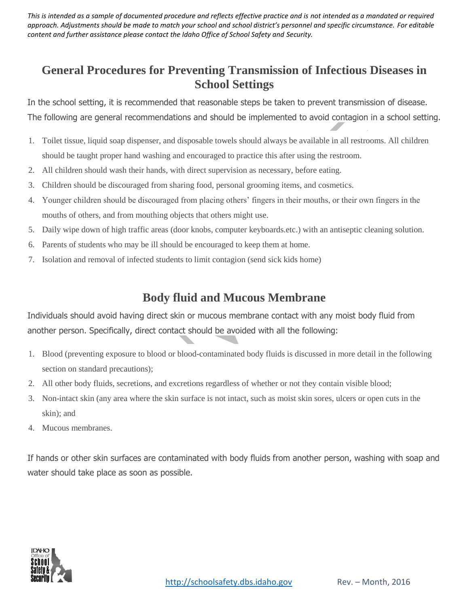*This is intended as a sample of documented procedure and reflects effective practice and is not intended as a mandated or required approach. Adjustments should be made to match your school and school district's personnel and specific circumstance. For editable content and further assistance please contact the Idaho Office of School Safety and Security.*

## **General Procedures for Preventing Transmission of Infectious Diseases in School Settings**

In the school setting, it is recommended that reasonable steps be taken to prevent transmission of disease. The following are general recommendations and should be implemented to avoid contagion in a school setting.

- 1. Toilet tissue, liquid soap dispenser, and disposable towels should always be available in all restrooms. All children should be taught proper hand washing and encouraged to practice this after using the restroom.
- 2. All children should wash their hands, with direct supervision as necessary, before eating.
- 3. Children should be discouraged from sharing food, personal grooming items, and cosmetics.
- 4. Younger children should be discouraged from placing others' fingers in their mouths, or their own fingers in the mouths of others, and from mouthing objects that others might use.
- 5. Daily wipe down of high traffic areas (door knobs, computer keyboards.etc.) with an antiseptic cleaning solution.
- 6. Parents of students who may be ill should be encouraged to keep them at home.
- 7. Isolation and removal of infected students to limit contagion (send sick kids home)

#### **Body fluid and Mucous Membrane**

Individuals should avoid having direct skin or mucous membrane contact with any moist body fluid from another person. Specifically, direct contact should be avoided with all the following:

- 1. Blood (preventing exposure to blood or blood-contaminated body fluids is discussed in more detail in the following section on standard precautions);
- 2. All other body fluids, secretions, and excretions regardless of whether or not they contain visible blood;
- 3. Non-intact skin (any area where the skin surface is not intact, such as moist skin sores, ulcers or open cuts in the skin); and
- 4. Mucous membranes.

If hands or other skin surfaces are contaminated with body fluids from another person, washing with soap and water should take place as soon as possible.

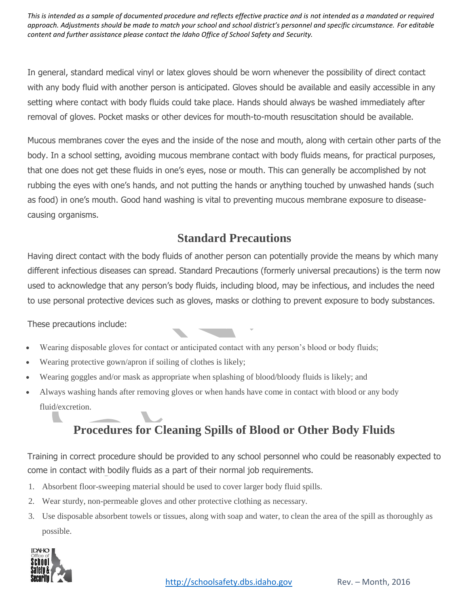*This is intended as a sample of documented procedure and reflects effective practice and is not intended as a mandated or required approach. Adjustments should be made to match your school and school district's personnel and specific circumstance. For editable content and further assistance please contact the Idaho Office of School Safety and Security.*

In general, standard medical vinyl or latex gloves should be worn whenever the possibility of direct contact with any body fluid with another person is anticipated. Gloves should be available and easily accessible in any setting where contact with body fluids could take place. Hands should always be washed immediately after removal of gloves. Pocket masks or other devices for mouth-to-mouth resuscitation should be available.

Mucous membranes cover the eyes and the inside of the nose and mouth, along with certain other parts of the body. In a school setting, avoiding mucous membrane contact with body fluids means, for practical purposes, that one does not get these fluids in one's eyes, nose or mouth. This can generally be accomplished by not rubbing the eyes with one's hands, and not putting the hands or anything touched by unwashed hands (such as food) in one's mouth. Good hand washing is vital to preventing mucous membrane exposure to diseasecausing organisms.

## **Standard Precautions**

Having direct contact with the body fluids of another person can potentially provide the means by which many different infectious diseases can spread. Standard Precautions (formerly universal precautions) is the term now used to acknowledge that any person's body fluids, including blood, may be infectious, and includes the need to use personal protective devices such as gloves, masks or clothing to prevent exposure to body substances.

These precautions include:

- Wearing disposable gloves for contact or anticipated contact with any person's blood or body fluids;
- Wearing protective gown/apron if soiling of clothes is likely;
- Wearing goggles and/or mask as appropriate when splashing of blood/bloody fluids is likely; and
- Always washing hands after removing gloves or when hands have come in contact with blood or any body fluid/excretion.

# **Procedures for Cleaning Spills of Blood or Other Body Fluids**

Training in correct procedure should be provided to any school personnel who could be reasonably expected to come in contact with bodily fluids as a part of their normal job requirements.

- 1. Absorbent floor-sweeping material should be used to cover larger body fluid spills.
- 2. Wear sturdy, non-permeable gloves and other protective clothing as necessary.
- 3. Use disposable absorbent towels or tissues, along with soap and water, to clean the area of the spill as thoroughly as possible.